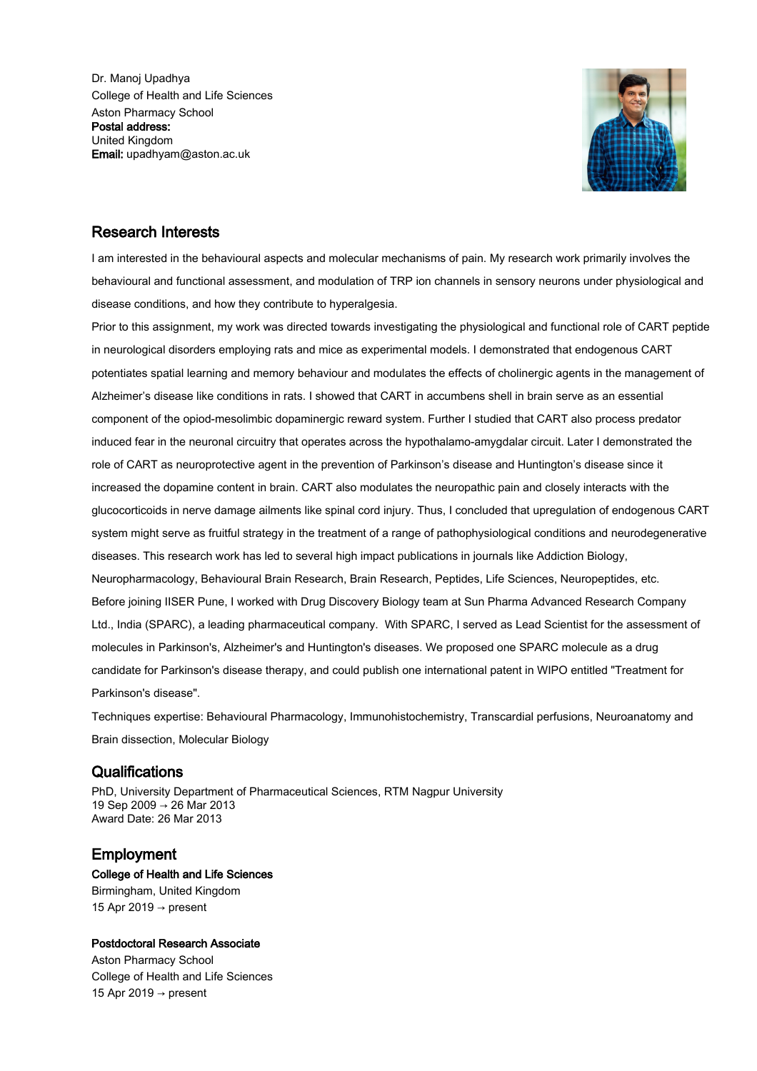Dr. Manoj Upadhya College of Health and Life Sciences Aston Pharmacy School Postal address: United Kingdom Email: upadhyam@aston.ac.uk



# Research Interests

I am interested in the behavioural aspects and molecular mechanisms of pain. My research work primarily involves the behavioural and functional assessment, and modulation of TRP ion channels in sensory neurons under physiological and disease conditions, and how they contribute to hyperalgesia.

Prior to this assignment, my work was directed towards investigating the physiological and functional role of CART peptide in neurological disorders employing rats and mice as experimental models. I demonstrated that endogenous CART potentiates spatial learning and memory behaviour and modulates the effects of cholinergic agents in the management of Alzheimer's disease like conditions in rats. I showed that CART in accumbens shell in brain serve as an essential component of the opiod-mesolimbic dopaminergic reward system. Further I studied that CART also process predator induced fear in the neuronal circuitry that operates across the hypothalamo-amygdalar circuit. Later I demonstrated the role of CART as neuroprotective agent in the prevention of Parkinson's disease and Huntington's disease since it increased the dopamine content in brain. CART also modulates the neuropathic pain and closely interacts with the glucocorticoids in nerve damage ailments like spinal cord injury. Thus, I concluded that upregulation of endogenous CART system might serve as fruitful strategy in the treatment of a range of pathophysiological conditions and neurodegenerative diseases. This research work has led to several high impact publications in journals like Addiction Biology, Neuropharmacology, Behavioural Brain Research, Brain Research, Peptides, Life Sciences, Neuropeptides, etc. Before joining IISER Pune, I worked with Drug Discovery Biology team at Sun Pharma Advanced Research Company Ltd., India (SPARC), a leading pharmaceutical company. With SPARC, I served as Lead Scientist for the assessment of molecules in Parkinson's, Alzheimer's and Huntington's diseases. We proposed one SPARC molecule as a drug candidate for Parkinson's disease therapy, and could publish one international patent in WIPO entitled "Treatment for Parkinson's disease".

Techniques expertise: Behavioural Pharmacology, Immunohistochemistry, Transcardial perfusions, Neuroanatomy and Brain dissection, Molecular Biology

# **Qualifications**

PhD, University Department of Pharmaceutical Sciences, RTM Nagpur University 19 Sep 2009 → 26 Mar 2013 Award Date: 26 Mar 2013

# Employment

# College of Health and Life Sciences

Birmingham, United Kingdom 15 Apr 2019  $\rightarrow$  present

# Postdoctoral Research Associate

Aston Pharmacy School College of Health and Life Sciences 15 Apr 2019  $\rightarrow$  present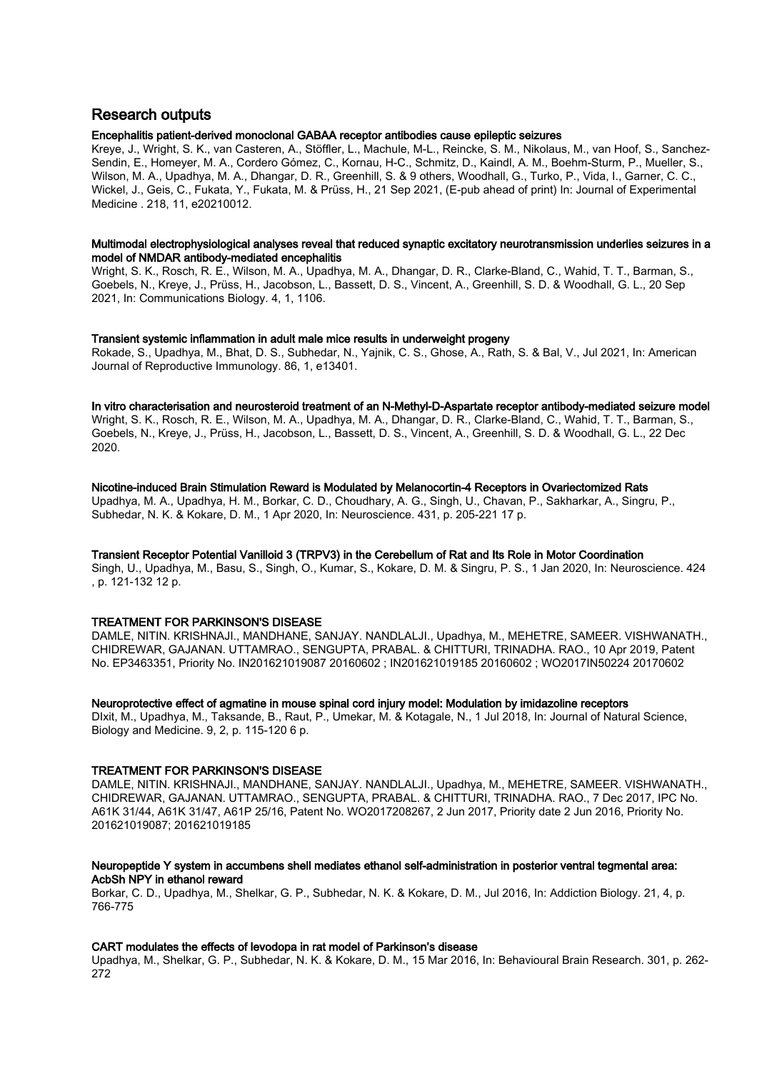# Research outputs

# Encephalitis patient-derived monoclonal GABAA receptor antibodies cause epileptic seizures

Kreye, J., Wright, S. K., van Casteren, A., Stöffler, L., Machule, M-L., Reincke, S. M., Nikolaus, M., van Hoof, S., Sanchez-Sendin, E., Homeyer, M. A., Cordero Gómez, C., Kornau, H-C., Schmitz, D., Kaindl, A. M., Boehm-Sturm, P., Mueller, S., Wilson, M. A., Upadhya, M. A., Dhangar, D. R., Greenhill, S. & 9 others, Woodhall, G., Turko, P., Vida, I., Garner, C. C., Wickel, J., Geis, C., Fukata, Y., Fukata, M. & Prüss, H., 21 Sep 2021, (E-pub ahead of print) In: Journal of Experimental Medicine . 218, 11, e20210012.

## Multimodal electrophysiological analyses reveal that reduced synaptic excitatory neurotransmission underlies seizures in a model of NMDAR antibody-mediated encephalitis

Wright, S. K., Rosch, R. E., Wilson, M. A., Upadhya, M. A., Dhangar, D. R., Clarke-Bland, C., Wahid, T. T., Barman, S., Goebels, N., Kreye, J., Prüss, H., Jacobson, L., Bassett, D. S., Vincent, A., Greenhill, S. D. & Woodhall, G. L., 20 Sep 2021, In: Communications Biology. 4, 1, 1106.

### Transient systemic inflammation in adult male mice results in underweight progeny

Rokade, S., Upadhya, M., Bhat, D. S., Subhedar, N., Yajnik, C. S., Ghose, A., Rath, S. & Bal, V., Jul 2021, In: American Journal of Reproductive Immunology. 86, 1, e13401.

#### In vitro characterisation and neurosteroid treatment of an N-Methyl-D-Aspartate receptor antibody-mediated seizure model

Wright, S. K., Rosch, R. E., Wilson, M. A., Upadhya, M. A., Dhangar, D. R., Clarke-Bland, C., Wahid, T. T., Barman, S., Goebels, N., Kreye, J., Prüss, H., Jacobson, L., Bassett, D. S., Vincent, A., Greenhill, S. D. & Woodhall, G. L., 22 Dec 2020.

# Nicotine-induced Brain Stimulation Reward is Modulated by Melanocortin-4 Receptors in Ovariectomized Rats

Upadhya, M. A., Upadhya, H. M., Borkar, C. D., Choudhary, A. G., Singh, U., Chavan, P., Sakharkar, A., Singru, P., Subhedar, N. K. & Kokare, D. M., 1 Apr 2020, In: Neuroscience. 431, p. 205-221 17 p.

## Transient Receptor Potential Vanilloid 3 (TRPV3) in the Cerebellum of Rat and Its Role in Motor Coordination

Singh, U., Upadhya, M., Basu, S., Singh, O., Kumar, S., Kokare, D. M. & Singru, P. S., 1 Jan 2020, In: Neuroscience. 424 , p. 121-132 12 p.

# TREATMENT FOR PARKINSON'S DISEASE

DAMLE, NITIN. KRISHNAJI., MANDHANE, SANJAY. NANDLALJI., Upadhya, M., MEHETRE, SAMEER. VISHWANATH., CHIDREWAR, GAJANAN. UTTAMRAO., SENGUPTA, PRABAL. & CHITTURI, TRINADHA. RAO., 10 Apr 2019, Patent No. EP3463351, Priority No. IN201621019087 20160602 ; IN201621019185 20160602 ; WO2017IN50224 20170602

#### Neuroprotective effect of agmatine in mouse spinal cord injury model: Modulation by imidazoline receptors

DIxit, M., Upadhya, M., Taksande, B., Raut, P., Umekar, M. & Kotagale, N., 1 Jul 2018, In: Journal of Natural Science, Biology and Medicine. 9, 2, p. 115-120 6 p.

# TREATMENT FOR PARKINSON'S DISEASE

DAMLE, NITIN. KRISHNAJI., MANDHANE, SANJAY. NANDLALJI., Upadhya, M., MEHETRE, SAMEER. VISHWANATH., CHIDREWAR, GAJANAN. UTTAMRAO., SENGUPTA, PRABAL. & CHITTURI, TRINADHA. RAO., 7 Dec 2017, IPC No. A61K 31/44, A61K 31/47, A61P 25/16, Patent No. WO2017208267, 2 Jun 2017, Priority date 2 Jun 2016, Priority No. 201621019087; 201621019185

# Neuropeptide Y system in accumbens shell mediates ethanol self-administration in posterior ventral tegmental area: AcbSh NPY in ethanol reward

Borkar, C. D., Upadhya, M., Shelkar, G. P., Subhedar, N. K. & Kokare, D. M., Jul 2016, In: Addiction Biology. 21, 4, p. 766-775

# CART modulates the effects of levodopa in rat model of Parkinson's disease

Upadhya, M., Shelkar, G. P., Subhedar, N. K. & Kokare, D. M., 15 Mar 2016, In: Behavioural Brain Research. 301, p. 262- 272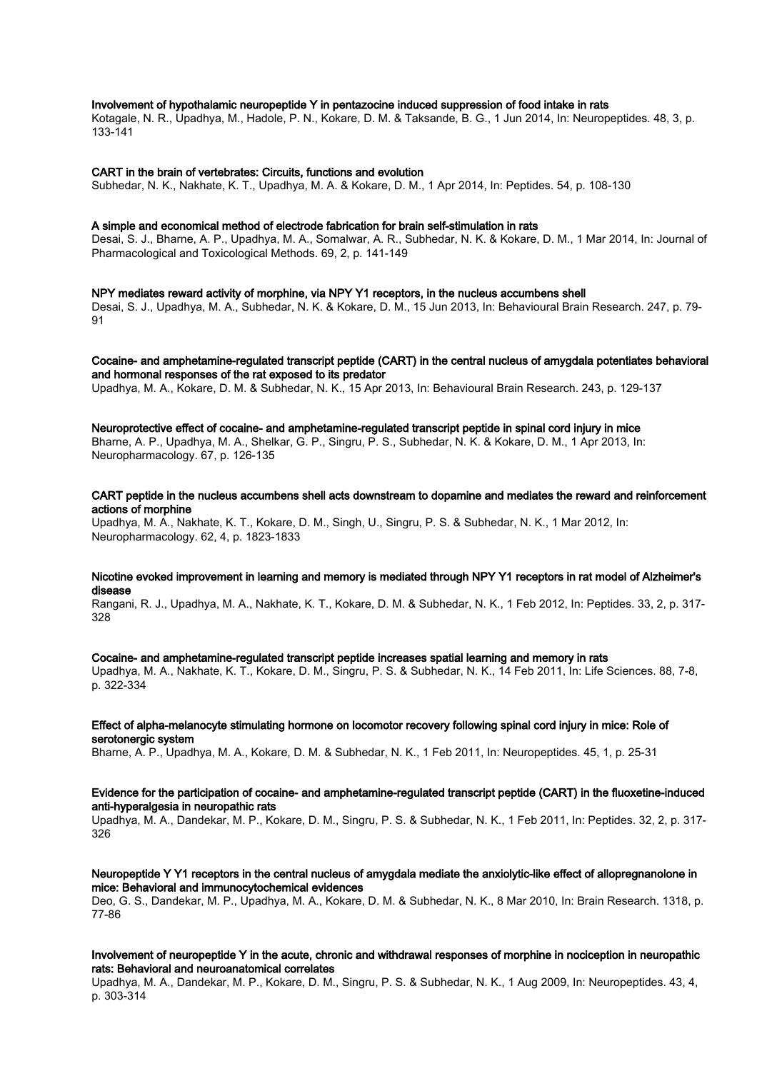## Involvement of hypothalamic neuropeptide Y in pentazocine induced suppression of food intake in rats

Kotagale, N. R., Upadhya, M., Hadole, P. N., Kokare, D. M. & Taksande, B. G., 1 Jun 2014, In: Neuropeptides. 48, 3, p. 133-141

#### CART in the brain of vertebrates: Circuits, functions and evolution

Subhedar, N. K., Nakhate, K. T., Upadhya, M. A. & Kokare, D. M., 1 Apr 2014, In: Peptides. 54, p. 108-130

#### A simple and economical method of electrode fabrication for brain self-stimulation in rats

Desai, S. J., Bharne, A. P., Upadhya, M. A., Somalwar, A. R., Subhedar, N. K. & Kokare, D. M., 1 Mar 2014, In: Journal of Pharmacological and Toxicological Methods. 69, 2, p. 141-149

#### NPY mediates reward activity of morphine, via NPY Y1 receptors, in the nucleus accumbens shell

Desai, S. J., Upadhya, M. A., Subhedar, N. K. & Kokare, D. M., 15 Jun 2013, In: Behavioural Brain Research. 247, p. 79- 91

Cocaine- and amphetamine-regulated transcript peptide (CART) in the central nucleus of amygdala potentiates behavioral and hormonal responses of the rat exposed to its predator

Upadhya, M. A., Kokare, D. M. & Subhedar, N. K., 15 Apr 2013, In: Behavioural Brain Research. 243, p. 129-137

### Neuroprotective effect of cocaine- and amphetamine-regulated transcript peptide in spinal cord injury in mice

Bharne, A. P., Upadhya, M. A., Shelkar, G. P., Singru, P. S., Subhedar, N. K. & Kokare, D. M., 1 Apr 2013, In: Neuropharmacology. 67, p. 126-135

# CART peptide in the nucleus accumbens shell acts downstream to dopamine and mediates the reward and reinforcement actions of morphine

Upadhya, M. A., Nakhate, K. T., Kokare, D. M., Singh, U., Singru, P. S. & Subhedar, N. K., 1 Mar 2012, In: Neuropharmacology. 62, 4, p. 1823-1833

## Nicotine evoked improvement in learning and memory is mediated through NPY Y1 receptors in rat model of Alzheimer's disease

Rangani, R. J., Upadhya, M. A., Nakhate, K. T., Kokare, D. M. & Subhedar, N. K., 1 Feb 2012, In: Peptides. 33, 2, p. 317- 328

#### Cocaine- and amphetamine-regulated transcript peptide increases spatial learning and memory in rats

Upadhya, M. A., Nakhate, K. T., Kokare, D. M., Singru, P. S. & Subhedar, N. K., 14 Feb 2011, In: Life Sciences. 88, 7-8, p. 322-334

## Effect of alpha-melanocyte stimulating hormone on locomotor recovery following spinal cord injury in mice: Role of serotonergic system

Bharne, A. P., Upadhya, M. A., Kokare, D. M. & Subhedar, N. K., 1 Feb 2011, In: Neuropeptides. 45, 1, p. 25-31

## Evidence for the participation of cocaine- and amphetamine-regulated transcript peptide (CART) in the fluoxetine-induced anti-hyperalgesia in neuropathic rats

Upadhya, M. A., Dandekar, M. P., Kokare, D. M., Singru, P. S. & Subhedar, N. K., 1 Feb 2011, In: Peptides. 32, 2, p. 317- 326

#### Neuropeptide Y Y1 receptors in the central nucleus of amygdala mediate the anxiolytic-like effect of allopregnanolone in mice: Behavioral and immunocytochemical evidences Deo, G. S., Dandekar, M. P., Upadhya, M. A., Kokare, D. M. & Subhedar, N. K., 8 Mar 2010, In: Brain Research. 1318, p.

77-86

# Involvement of neuropeptide Y in the acute, chronic and withdrawal responses of morphine in nociception in neuropathic rats: Behavioral and neuroanatomical correlates

Upadhya, M. A., Dandekar, M. P., Kokare, D. M., Singru, P. S. & Subhedar, N. K., 1 Aug 2009, In: Neuropeptides. 43, 4, p. 303-314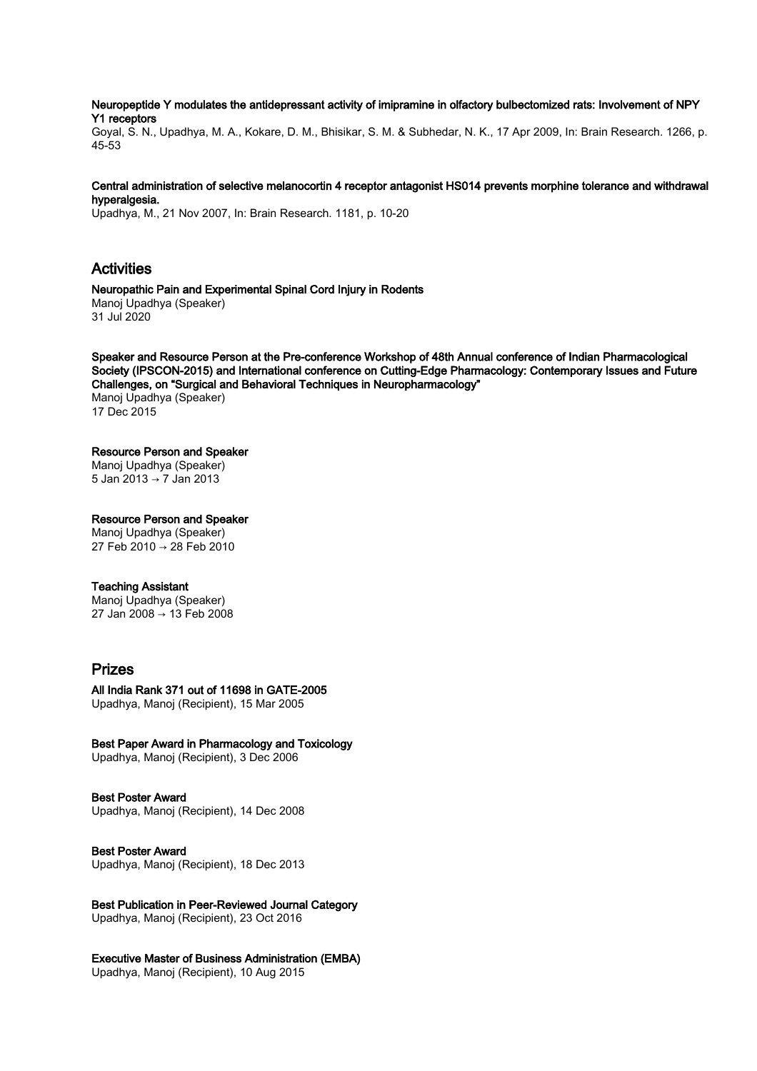Neuropeptide Y modulates the antidepressant activity of imipramine in olfactory bulbectomized rats: Involvement of NPY Y1 receptors

Goyal, S. N., Upadhya, M. A., Kokare, D. M., Bhisikar, S. M. & Subhedar, N. K., 17 Apr 2009, In: Brain Research. 1266, p. 45-53

## Central administration of selective melanocortin 4 receptor antagonist HS014 prevents morphine tolerance and withdrawal hyperalgesia.

Upadhya, M., 21 Nov 2007, In: Brain Research. 1181, p. 10-20

# Activities

Neuropathic Pain and Experimental Spinal Cord Injury in Rodents Manoj Upadhya (Speaker) 31 Jul 2020

Speaker and Resource Person at the Pre-conference Workshop of 48th Annual conference of Indian Pharmacological Society (IPSCON-2015) and International conference on Cutting-Edge Pharmacology: Contemporary Issues and Future Challenges, on "Surgical and Behavioral Techniques in Neuropharmacology" Manoj Upadhya (Speaker) 17 Dec 2015

# Resource Person and Speaker

Manoj Upadhya (Speaker) 5 Jan 2013 → 7 Jan 2013

# Resource Person and Speaker

Manoj Upadhya (Speaker) 27 Feb 2010 → 28 Feb 2010

# Teaching Assistant

Manoj Upadhya (Speaker) 27 Jan 2008 → 13 Feb 2008

# Prizes

# All India Rank 371 out of 11698 in GATE-2005

Upadhya, Manoj (Recipient), 15 Mar 2005

Best Paper Award in Pharmacology and Toxicology

Upadhya, Manoj (Recipient), 3 Dec 2006

# Best Poster Award

Upadhya, Manoj (Recipient), 14 Dec 2008

Best Poster Award Upadhya, Manoj (Recipient), 18 Dec 2013

Best Publication in Peer-Reviewed Journal Category Upadhya, Manoj (Recipient), 23 Oct 2016

# Executive Master of Business Administration (EMBA)

Upadhya, Manoj (Recipient), 10 Aug 2015